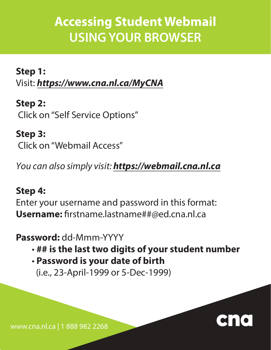## **Accessing Student Webmail USING YOUR BROWSER**

**Step 1:** Visit: **https://www.cna.nl.ca/MyCNA** 

**Step 2:** Click on "Self Service Options"

**Step 3:** Click on "Webmail Access"

You can also simply visit: **https://webmail.cna.nl.ca**

## **Step 4:**

Enter your username and password in this format: **Username:** firstname.lastname##@ed.cna.nl.ca

## **Password:** dd-Mmm-YYYY

- **## is the last two digits of your student number**
- **Password is your date of birth** (i.e., 23-April-1999 or 5-Dec-1999)



www.cna.nl.ca | 1 888 982 2268